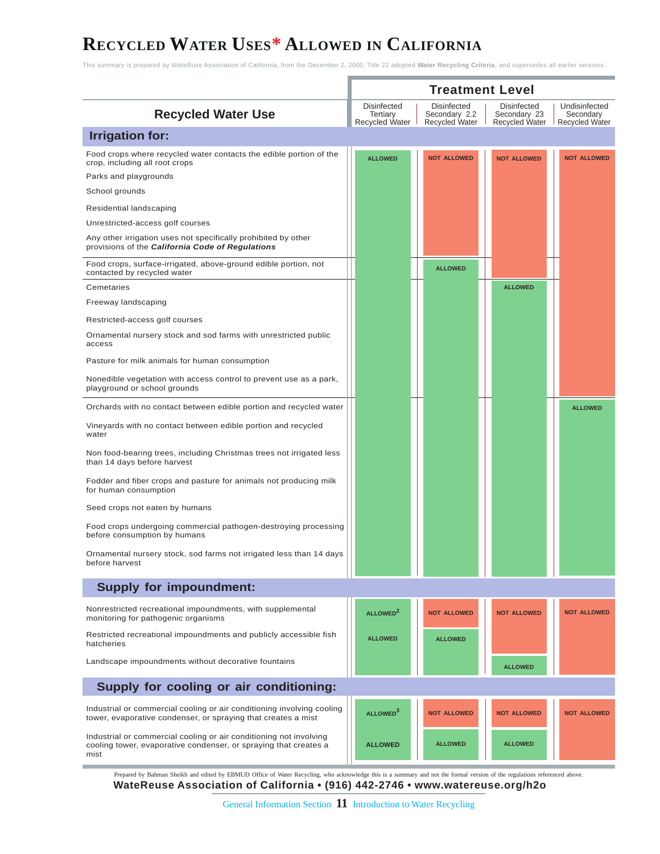## **RECYCLED WATER USES\* ALLOWED IN CALIFORNIA**

This summary is prepared by WateRuse Association of California, from the December 2, 2000, Title 22 adopted **Water Recycling Criteria**, and supersedes all earlier versions.

|                                                                                                                                                | <b>Treatment Level</b>                                  |                                                              |                                                      |                                                     |  |  |
|------------------------------------------------------------------------------------------------------------------------------------------------|---------------------------------------------------------|--------------------------------------------------------------|------------------------------------------------------|-----------------------------------------------------|--|--|
| <b>Recycled Water Use</b>                                                                                                                      | <b>Disinfected</b><br>Tertiary<br><b>Recycled Water</b> | <b>Disinfected</b><br>Secondary 2.2<br><b>Recycled Water</b> | Disinfected<br>Secondary 23<br><b>Recycled Water</b> | Undisinfected<br>Secondary<br><b>Recycled Water</b> |  |  |
| <b>Irrigation for:</b>                                                                                                                         |                                                         |                                                              |                                                      |                                                     |  |  |
| Food crops where recycled water contacts the edible portion of the<br>crop, including all root crops                                           | <b>ALLOWED</b>                                          | <b>NOT ALLOWED</b>                                           | <b>NOT ALLOWED</b>                                   | <b>NOT ALLOWED</b>                                  |  |  |
| Parks and playgrounds                                                                                                                          |                                                         |                                                              |                                                      |                                                     |  |  |
| School grounds                                                                                                                                 |                                                         |                                                              |                                                      |                                                     |  |  |
| Residential landscaping                                                                                                                        |                                                         |                                                              |                                                      |                                                     |  |  |
| Unrestricted-access golf courses                                                                                                               |                                                         |                                                              |                                                      |                                                     |  |  |
| Any other irrigation uses not specifically prohibited by other<br>provisions of the California Code of Regulations                             |                                                         |                                                              |                                                      |                                                     |  |  |
| Food crops, surface-irrigated, above-ground edible portion, not<br>contacted by recycled water                                                 |                                                         | <b>ALLOWED</b>                                               |                                                      |                                                     |  |  |
| Cemetaries                                                                                                                                     |                                                         |                                                              | <b>ALLOWED</b>                                       |                                                     |  |  |
| Freeway landscaping                                                                                                                            |                                                         |                                                              |                                                      |                                                     |  |  |
| Restricted-access golf courses                                                                                                                 |                                                         |                                                              |                                                      |                                                     |  |  |
| Ornamental nursery stock and sod farms with unrestricted public<br>access                                                                      |                                                         |                                                              |                                                      |                                                     |  |  |
| Pasture for milk animals for human consumption                                                                                                 |                                                         |                                                              |                                                      |                                                     |  |  |
| Nonedible vegetation with access control to prevent use as a park,<br>playground or school grounds                                             |                                                         |                                                              |                                                      |                                                     |  |  |
| Orchards with no contact between edible portion and recycled water                                                                             |                                                         |                                                              |                                                      | <b>ALLOWED</b>                                      |  |  |
| Vineyards with no contact between edible portion and recycled<br>water                                                                         |                                                         |                                                              |                                                      |                                                     |  |  |
| Non food-bearing trees, including Christmas trees not irrigated less<br>than 14 days before harvest                                            |                                                         |                                                              |                                                      |                                                     |  |  |
| Fodder and fiber crops and pasture for animals not producing milk<br>for human consumption                                                     |                                                         |                                                              |                                                      |                                                     |  |  |
| Seed crops not eaten by humans                                                                                                                 |                                                         |                                                              |                                                      |                                                     |  |  |
| Food crops undergoing commercial pathogen-destroying processing<br>before consumption by humans                                                |                                                         |                                                              |                                                      |                                                     |  |  |
| Ornamental nursery stock, sod farms not irrigated less than 14 days<br>before harvest                                                          |                                                         |                                                              |                                                      |                                                     |  |  |
| <b>Supply for impoundment:</b>                                                                                                                 |                                                         |                                                              |                                                      |                                                     |  |  |
| Nonrestricted recreational impoundments, with supplemental                                                                                     | ALLOWED <sup>2</sup>                                    | <b>NOT ALLOWED</b>                                           | <b>NOT ALLOWED</b>                                   | <b>NOT ALLOWED</b>                                  |  |  |
| monitoring for pathogenic organisms                                                                                                            |                                                         |                                                              |                                                      |                                                     |  |  |
| Restricted recreational impoundments and publicly accessible fish<br>hatcheries                                                                | <b>ALLOWED</b>                                          | <b>ALLOWED</b>                                               |                                                      |                                                     |  |  |
| Landscape impoundments without decorative fountains                                                                                            |                                                         |                                                              | <b>ALLOWED</b>                                       |                                                     |  |  |
| Supply for cooling or air conditioning:                                                                                                        |                                                         |                                                              |                                                      |                                                     |  |  |
| Industrial or commercial cooling or air conditioning involving cooling<br>tower, evaporative condenser, or spraying that creates a mist        | ALLOWED <sup>3</sup>                                    | <b>NOT ALLOWED</b>                                           | <b>NOT ALLOWED</b>                                   | <b>NOT ALLOWED</b>                                  |  |  |
| Industrial or commercial cooling or air conditioning not involving<br>cooling tower, evaporative condenser, or spraying that creates a<br>mist | <b>ALLOWED</b>                                          | <b>ALLOWED</b>                                               | <b>ALLOWED</b>                                       |                                                     |  |  |

Prepared by Bahman Sheikh and edited by EBMUD Office of Water Recycling, who acknowledge this is a summary and not the formal version of the regulations referenced above.<br>WateReuse Association of California • (916) 442-274